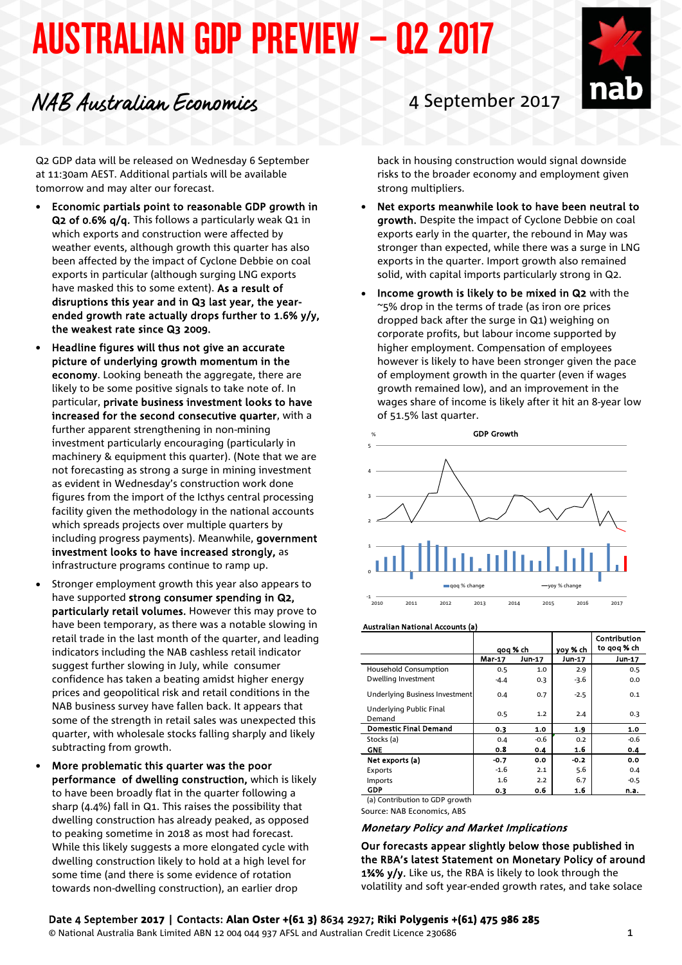# AUSTRALIAN GDP PREVIEW – Q2 2017

## NAB Australian Economics <sup>4</sup> September <sup>2017</sup>

Q2 GDP data will be released on Wednesday 6 September at 11:30am AEST. Additional partials will be available tomorrow and may alter our forecast.

- Economic partials point to reasonable GDP growth in Q2 of 0.6% q/q. This follows a particularly weak Q1 in which exports and construction were affected by weather events, although growth this quarter has also been affected by the impact of Cyclone Debbie on coal exports in particular (although surging LNG exports have masked this to some extent). As a result of disruptions this year and in Q3 last year, the yearended growth rate actually drops further to 1.6% y/y, the weakest rate since Q3 2009.
- Headline figures will thus not give an accurate picture of underlying growth momentum in the economy. Looking beneath the aggregate, there are likely to be some positive signals to take note of. In particular, private business investment looks to have increased for the second consecutive quarter, with a further apparent strengthening in non-mining investment particularly encouraging (particularly in machinery & equipment this quarter). (Note that we are not forecasting as strong a surge in mining investment as evident in Wednesday's construction work done figures from the import of the Icthys central processing facility given the methodology in the national accounts which spreads projects over multiple quarters by including progress payments). Meanwhile, government investment looks to have increased strongly, as infrastructure programs continue to ramp up.
- Stronger employment growth this year also appears to have supported strong consumer spending in Q2, particularly retail volumes. However this may prove to have been temporary, as there was a notable slowing in retail trade in the last month of the quarter, and leading indicators including the NAB cashless retail indicator suggest further slowing in July, while consumer confidence has taken a beating amidst higher energy prices and geopolitical risk and retail conditions in the NAB business survey have fallen back. It appears that some of the strength in retail sales was unexpected this quarter, with wholesale stocks falling sharply and likely subtracting from growth.
- More problematic this quarter was the poor performance of dwelling construction, which is likely to have been broadly flat in the quarter following a sharp (4.4%) fall in Q1. This raises the possibility that dwelling construction has already peaked, as opposed to peaking sometime in 2018 as most had forecast. While this likely suggests a more elongated cycle with dwelling construction likely to hold at a high level for some time (and there is some evidence of rotation towards non-dwelling construction), an earlier drop

back in housing construction would signal downside risks to the broader economy and employment given strong multipliers.

- Net exports meanwhile look to have been neutral to growth. Despite the impact of Cyclone Debbie on coal exports early in the quarter, the rebound in May was stronger than expected, while there was a surge in LNG exports in the quarter. Import growth also remained solid, with capital imports particularly strong in Q2.
- Income growth is likely to be mixed in Q2 with the ~5% drop in the terms of trade (as iron ore prices dropped back after the surge in Q1) weighing on corporate profits, but labour income supported by higher employment. Compensation of employees however is likely to have been stronger given the pace of employment growth in the quarter (even if wages growth remained low), and an improvement in the wages share of income is likely after it hit an 8-year low of 51.5% last quarter.



Australian National Accounts (a)

|                                   | qoq % ch      |        | yoy % ch | Contribution<br>to gog % ch |
|-----------------------------------|---------------|--------|----------|-----------------------------|
|                                   | <b>Mar-17</b> | Jun-17 | Jun-17   | Jun-17                      |
| <b>Household Consumption</b>      | 0.5           | 1.0    | 2.9      | 0.5                         |
| Dwelling Investment               | $-4.4$        | 0.3    | -3.6     | 0.0                         |
| Underlying Business Investment    | 0.4           | 0.7    | $-2.5$   | 0.1                         |
| Underlying Public Final<br>Demand | 0.5           | 1.2    | 2.4      | 0.3                         |
| <b>Domestic Final Demand</b>      | 0.3           | 1.0    | 1.9      | 1.0                         |
| Stocks (a)                        | 0.4           | $-0.6$ | 0.2      | $-0.6$                      |
| <b>GNE</b>                        | 0.8           | 0.4    | 1.6      | 0.4                         |
| Net exports (a)                   | $-0.7$        | 0.0    | $-0.2$   | 0.0                         |
| Exports                           | $-1.6$        | 2.1    | 5.6      | 0.4                         |
| Imports                           | 1.6           | 2.2    | 6.7      | $-0.5$                      |
| GDP                               | 0.3           | 0.6    | 1.6      | n.a.                        |
| (a) Contribution to GDP growth    |               |        |          |                             |

Source: NAB Economics, ABS

#### Monetary Policy and Market Implications

Our forecasts appear slightly below those published in the RBA's latest Statement on Monetary Policy of around 1%% y/y. Like us, the RBA is likely to look through the volatility and soft year-ended growth rates, and take solace

© National Australia Bank Limited ABN 12 004 044 937 AFSL and Australian Credit Licence 230686 1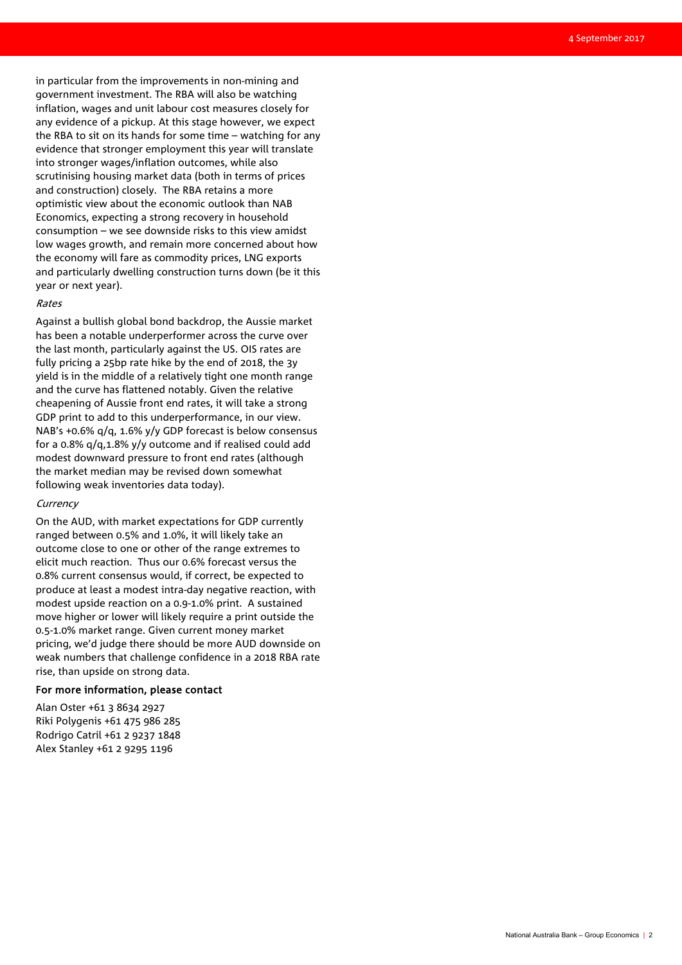in particular from the improvements in non-mining and government investment. The RBA will also be watching inflation, wages and unit labour cost measures closely for any evidence of a pickup. At this stage however, we expect the RBA to sit on its hands for some time – watching for any evidence that stronger employment this year will translate into stronger wages/inflation outcomes, while also scrutinising housing market data (both in terms of prices and construction) closely. The RBA retains a more optimistic view about the economic outlook than NAB Economics, expecting a strong recovery in household consumption – we see downside risks to this view amidst low wages growth, and remain more concerned about how the economy will fare as commodity prices, LNG exports and particularly dwelling construction turns down (be it this year or next year).

#### Rates

Against a bullish global bond backdrop, the Aussie market has been a notable underperformer across the curve over the last month, particularly against the US. OIS rates are fully pricing a 25bp rate hike by the end of 2018, the 3y yield is in the middle of a relatively tight one month range and the curve has flattened notably. Given the relative cheapening of Aussie front end rates, it will take a strong GDP print to add to this underperformance, in our view. NAB's +0.6% q/q, 1.6% y/y GDP forecast is below consensus for a 0.8% q/q,1.8% y/y outcome and if realised could add modest downward pressure to front end rates (although the market median may be revised down somewhat following weak inventories data today).

#### **Currency**

On the AUD, with market expectations for GDP currently ranged between 0.5% and 1.0%, it will likely take an outcome close to one or other of the range extremes to elicit much reaction. Thus our 0.6% forecast versus the 0.8% current consensus would, if correct, be expected to produce at least a modest intra-day negative reaction, with modest upside reaction on a 0.9-1.0% print. A sustained move higher or lower will likely require a print outside the 0.5-1.0% market range. Given current money market pricing, we'd judge there should be more AUD downside on weak numbers that challenge confidence in a 2018 RBA rate rise, than upside on strong data.

#### For more information, please contact

Alan Oster +61 3 8634 2927 Riki Polygenis +61 475 986 285 Rodrigo Catril +61 2 9237 1848 Alex Stanley +61 2 9295 1196